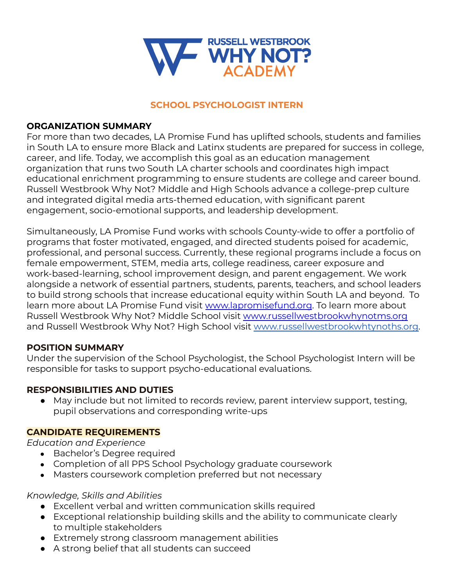

### **SCHOOL PSYCHOLOGIST INTERN**

### **ORGANIZATION SUMMARY**

For more than two decades, LA Promise Fund has uplifted schools, students and families in South LA to ensure more Black and Latinx students are prepared for success in college, career, and life. Today, we accomplish this goal as an education management organization that runs two South LA charter schools and coordinates high impact educational enrichment programming to ensure students are college and career bound. Russell Westbrook Why Not? Middle and High Schools advance a college-prep culture and integrated digital media arts-themed education, with significant parent engagement, socio-emotional supports, and leadership development.

Simultaneously, LA Promise Fund works with schools County-wide to offer a portfolio of programs that foster motivated, engaged, and directed students poised for academic, professional, and personal success. Currently, these regional programs include a focus on female empowerment, STEM, media arts, college readiness, career exposure and work-based-learning, school improvement design, and parent engagement. We work alongside a network of essential partners, students, parents, teachers, and school leaders to build strong schools that increase educational equity within South LA and beyond. To learn more about LA Promise Fund visit [www.lapromisefund.org](http://www.lapromisefund.org). To learn more about Russell Westbrook Why Not? Middle School visit [www.russellwestbrookwhynotms.org](http://www.russellwestbrookwhynotms.org) and Russell Westbrook Why Not? High School visit [www.russellwestbrookwhtynoths.org.](http://www.russellwestbrookwhtynoths.org)

#### **POSITION SUMMARY**

Under the supervision of the School Psychologist, the School Psychologist Intern will be responsible for tasks to support psycho-educational evaluations.

#### **RESPONSIBILITIES AND DUTIES**

● May include but not limited to records review, parent interview support, testing, pupil observations and corresponding write-ups

#### **CANDIDATE REQUIREMENTS**

*Education and Experience*

- Bachelor's Degree required
- Completion of all PPS School Psychology graduate coursework
- Masters coursework completion preferred but not necessary

#### *Knowledge, Skills and Abilities*

- Excellent verbal and written communication skills required
- Exceptional relationship building skills and the ability to communicate clearly to multiple stakeholders
- Extremely strong classroom management abilities
- A strong belief that all students can succeed